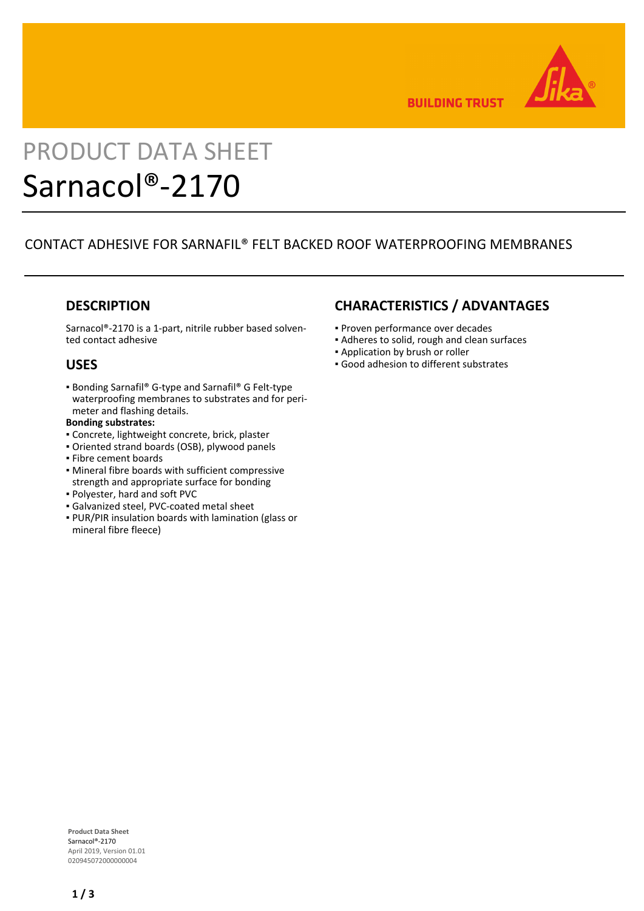

**BUILDING TRUST** 

# PRODUCT DATA SHEET Sarnacol®-2170

# CONTACT ADHESIVE FOR SARNAFIL® FELT BACKED ROOF WATERPROOFING MEMBRANES

## **DESCRIPTION**

Sarnacol®-2170 is a 1-part, nitrile rubber based solvented contact adhesive

## **USES**

■ Bonding Sarnafil® G-type and Sarnafil® G Felt-type waterproofing membranes to substrates and for perimeter and flashing details.

### **Bonding substrates:**

- Concrete, lightweight concrete, brick, plaster
- Oriented strand boards (OSB), plywood panels
- Fibre cement boards
- **Mineral fibre boards with sufficient compressive** strength and appropriate surface for bonding
- Polyester, hard and soft PVC
- Galvanized steel, PVC-coated metal sheet
- PUR/PIR insulation boards with lamination (glass or mineral fibre fleece)

## **CHARACTERISTICS / ADVANTAGES**

- Proven performance over decades
- Adheres to solid, rough and clean surfaces
- **.** Application by brush or roller
- Good adhesion to different substrates

**Product Data Sheet** Sarnacol®-2170 April 2019, Version 01.01 020945072000000004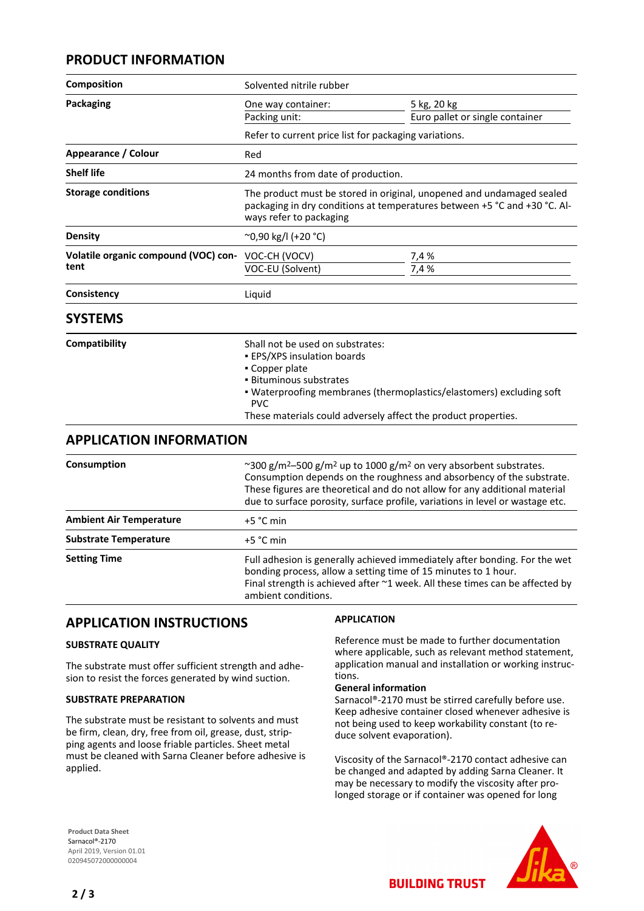## **PRODUCT INFORMATION**

| Composition                                  | Solvented nitrile rubber                                                                                                                                                                                                                                                                                                                      |                                 |
|----------------------------------------------|-----------------------------------------------------------------------------------------------------------------------------------------------------------------------------------------------------------------------------------------------------------------------------------------------------------------------------------------------|---------------------------------|
| <b>Packaging</b>                             | One way container:                                                                                                                                                                                                                                                                                                                            | 5 kg, 20 kg                     |
|                                              | Packing unit:                                                                                                                                                                                                                                                                                                                                 | Euro pallet or single container |
|                                              | Refer to current price list for packaging variations.                                                                                                                                                                                                                                                                                         |                                 |
| Appearance / Colour                          | Red                                                                                                                                                                                                                                                                                                                                           |                                 |
| <b>Shelf life</b>                            | 24 months from date of production.                                                                                                                                                                                                                                                                                                            |                                 |
| <b>Storage conditions</b>                    | The product must be stored in original, unopened and undamaged sealed<br>packaging in dry conditions at temperatures between +5 °C and +30 °C. Al-<br>ways refer to packaging                                                                                                                                                                 |                                 |
| <b>Density</b>                               | ~0,90 kg/l (+20 °C)                                                                                                                                                                                                                                                                                                                           |                                 |
| Volatile organic compound (VOC) con-<br>tent | VOC-CH (VOCV)<br>VOC-EU (Solvent)                                                                                                                                                                                                                                                                                                             | 7,4 %<br>7,4 %                  |
| Consistency                                  | Liquid                                                                                                                                                                                                                                                                                                                                        |                                 |
| <b>SYSTEMS</b>                               |                                                                                                                                                                                                                                                                                                                                               |                                 |
| Compatibility                                | Shall not be used on substrates:<br><b>EPS/XPS insulation boards</b><br>• Copper plate<br>· Bituminous substrates<br>. Waterproofing membranes (thermoplastics/elastomers) excluding soft<br><b>PVC</b><br>These materials could adversely affect the product properties.                                                                     |                                 |
| <b>APPLICATION INFORMATION</b>               |                                                                                                                                                                                                                                                                                                                                               |                                 |
| Consumption                                  | ~300 g/m <sup>2</sup> -500 g/m <sup>2</sup> up to 1000 g/m <sup>2</sup> on very absorbent substrates.<br>Consumption depends on the roughness and absorbency of the substrate.<br>These figures are theoretical and do not allow for any additional material<br>due to surface porosity, surface profile, variations in level or wastage etc. |                                 |
| <b>Ambient Air Temperature</b>               | +5 °C min                                                                                                                                                                                                                                                                                                                                     |                                 |
| <b>Substrate Temperature</b>                 | $+5$ °C min                                                                                                                                                                                                                                                                                                                                   |                                 |
| <b>Setting Time</b>                          | Full adhesion is generally achieved immediately after bonding. For the wet<br>bonding process, allow a setting time of 15 minutes to 1 hour.<br>Final strength is achieved after ~1 week. All these times can be affected by<br>ambient conditions.                                                                                           |                                 |

## **APPLICATION INSTRUCTIONS**

## **SUBSTRATE QUALITY**

The substrate must offer sufficient strength and adhesion to resist the forces generated by wind suction.

#### **SUBSTRATE PREPARATION**

The substrate must be resistant to solvents and must be firm, clean, dry, free from oil, grease, dust, stripping agents and loose friable particles. Sheet metal must be cleaned with Sarna Cleaner before adhesive is applied.

## **APPLICATION**

Reference must be made to further documentation where applicable, such as relevant method statement, application manual and installation or working instructions.

#### **General information**

Sarnacol®-2170 must be stirred carefully before use. Keep adhesive container closed whenever adhesive is not being used to keep workability constant (to reduce solvent evaporation).

Viscosity of the Sarnacol®-2170 contact adhesive can be changed and adapted by adding Sarna Cleaner. It may be necessary to modify the viscosity after prolonged storage or if container was opened for long

**BUILDING TRUST** 

**Product Data Sheet** Sarnacol®-2170 April 2019, Version 01.01 020945072000000004